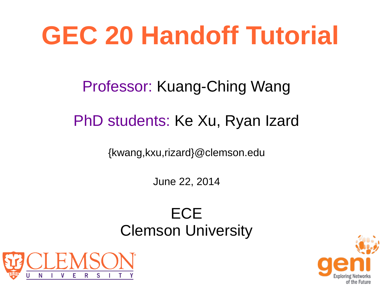# **GEC 20 Handoff Tutorial**

#### Professor: Kuang-Ching Wang

#### PhD students: Ke Xu, Ryan Izard

{kwang,kxu,rizard}@clemson.edu

June 22, 2014

#### **ECE** Clemson University



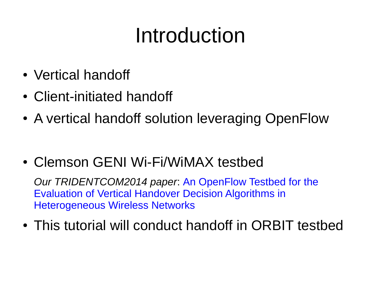## Introduction

- Vertical handoff
- Client-initiated handoff
- A vertical handoff solution leveraging OpenFlow
- Clemson GENI Wi-Fi/WiMAX testbed

*Our TRIDENTCOM2014 paper*: An OpenFlow Testbed for the Evaluation of Vertical Handover Decision Algorithms in Heterogeneous Wireless Networks

• This tutorial will conduct handoff in ORBIT testbed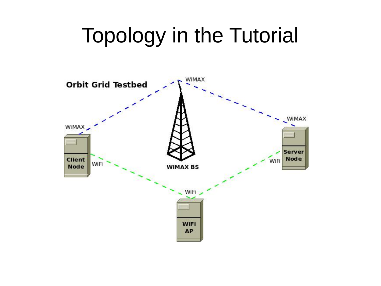## Topology in the Tutorial

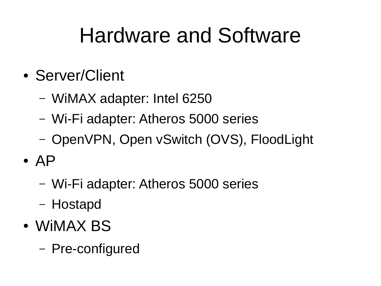### Hardware and Software

- Server/Client
	- WiMAX adapter: Intel 6250
	- Wi-Fi adapter: Atheros 5000 series
	- OpenVPN, Open vSwitch (OVS), FloodLight
- $\bullet$  AP
	- Wi-Fi adapter: Atheros 5000 series
	- Hostapd
- WIMAX BS
	- Pre-configured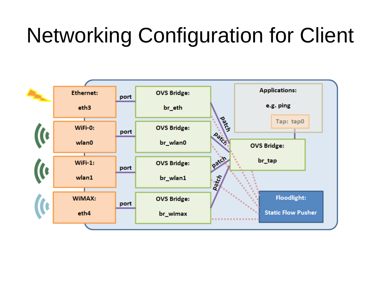## Networking Configuration for Client

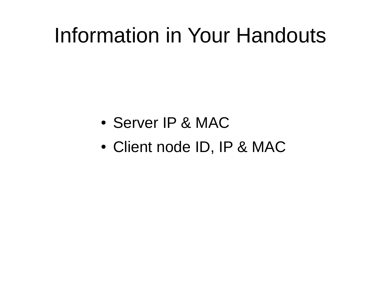#### Information in Your Handouts

- Server IP & MAC
- Client node ID, IP & MAC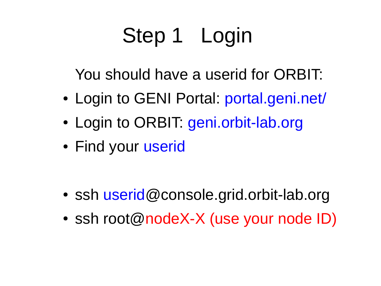## Step 1 Login

You should have a userid for ORBIT:

- Login to GENI Portal: portal.geni.net/
- Login to ORBIT: geni.orbit-lab.org
- Find your userid

- ssh userid@console.grid.orbit-lab.org
- ssh root@nodeX-X (use your node ID)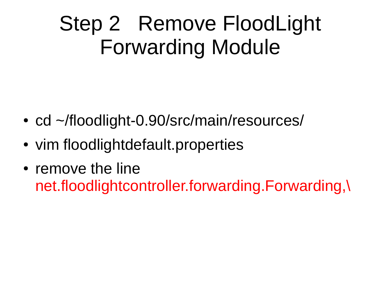## Step 2 Remove FloodLight Forwarding Module

- cd ~/floodlight-0.90/src/main/resources/
- vim floodlightdefault.properties
- remove the line net.floodlightcontroller.forwarding.Forwarding,\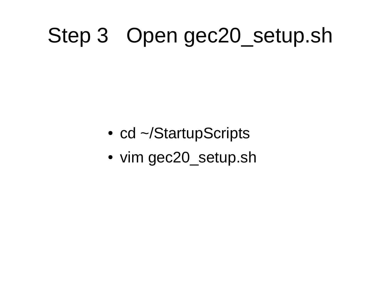### Step 3 Open gec20\_setup.sh

- cd ~/StartupScripts
- vim gec20 setup.sh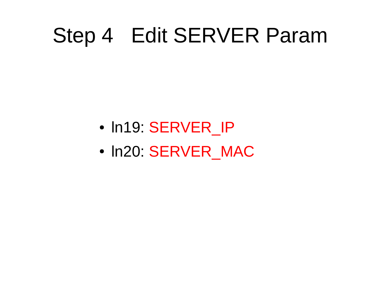#### Step 4 Edit SERVER Param

- In19: SERVER IP
- In20: SERVER MAC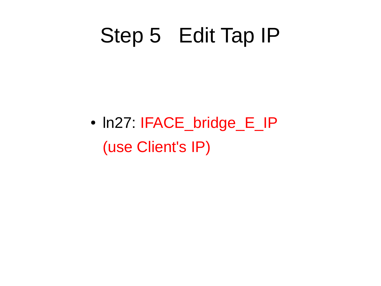#### Step 5 Edit Tap IP

• In27: IFACE\_bridge\_E\_IP (use Client's IP)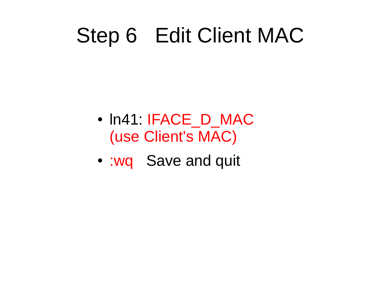### Step 6 Edit Client MAC

- In41: IFACE D MAC (use Client's MAC)
- :wq Save and quit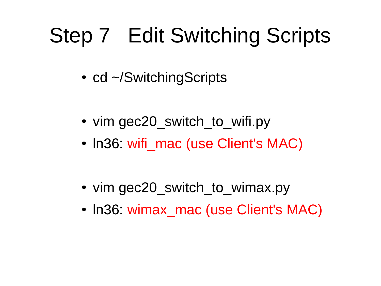## Step 7 Edit Switching Scripts

- cd ~/SwitchingScripts
- vim gec20 switch to wifi.py
- In36 wifi mac (use Client's MAC)
- vim gec20 switch to wimax.py
- In36: wimax mac (use Client's MAC)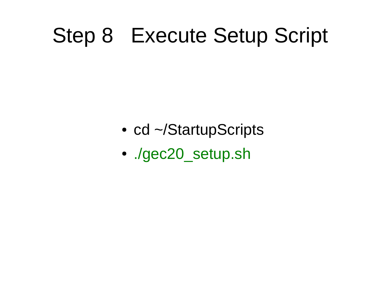#### Step 8 Execute Setup Script

- cd ~/StartupScripts
- ./gec20 setup.sh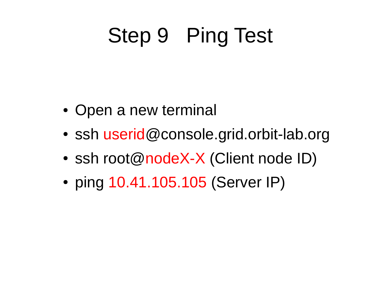## Step 9 Ping Test

- Open a new terminal
- ssh userid@console.grid.orbit-lab.org
- ssh root@nodeX-X (Client node ID)
- ping 10.41.105.105 (Server IP)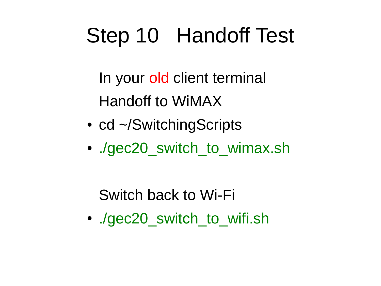## Step 10 Handoff Test

In your old client terminal Handoff to WiMAX

- cd ~/SwitchingScripts
- ./gec20 switch to wimax.sh

Switch back to Wi-Fi

• ./gec20 switch to wifi.sh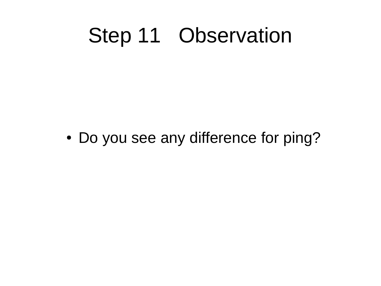#### Step 11 Observation

• Do you see any difference for ping?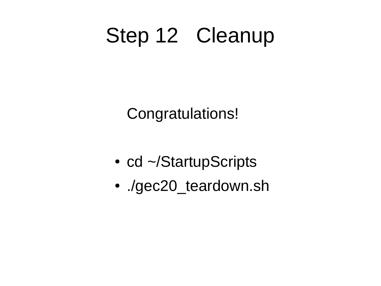### Step 12 Cleanup

Congratulations!

- cd ~/StartupScripts
- ./gec20\_teardown.sh